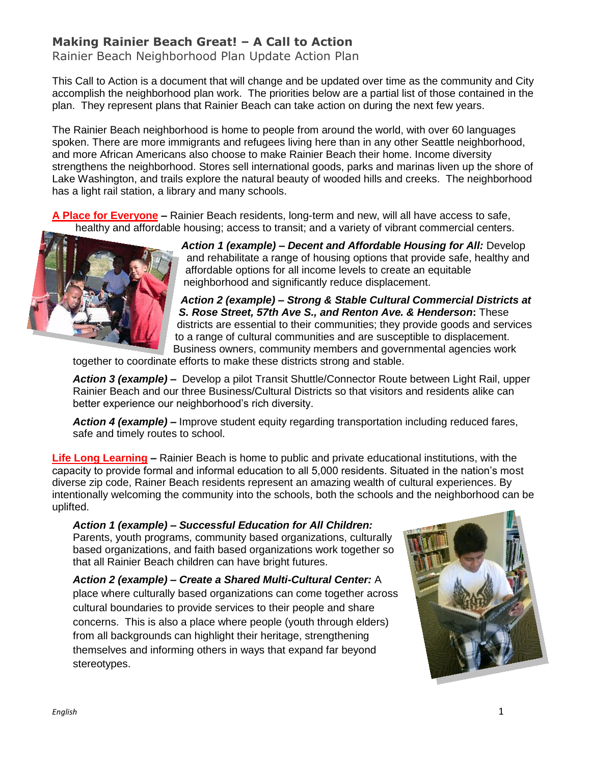## **Making Rainier Beach Great! – A Call to Action**

Rainier Beach Neighborhood Plan Update Action Plan

This Call to Action is a document that will change and be updated over time as the community and City accomplish the neighborhood plan work. The priorities below are a partial list of those contained in the plan. They represent plans that Rainier Beach can take action on during the next few years.

The Rainier Beach neighborhood is home to people from around the world, with over 60 languages spoken. There are more immigrants and refugees living here than in any other Seattle neighborhood, and more African Americans also choose to make Rainier Beach their home. Income diversity strengthens the neighborhood. Stores sell international goods, parks and marinas liven up the shore of Lake Washington, and trails explore the natural beauty of wooded hills and creeks. The neighborhood has a light rail station, a library and many schools.

**A Place for Everyone –** Rainier Beach residents, long-term and new, will all have access to safe, healthy and affordable housing; access to transit; and a variety of vibrant commercial centers.



*Action 1 (example) – Decent and Affordable Housing for All:* Develop and rehabilitate a range of housing options that provide safe, healthy and affordable options for all income levels to create an equitable neighborhood and significantly reduce displacement.

*Action 2 (example) – Strong & Stable Cultural Commercial Districts at S. Rose Street, 57th Ave S., and Renton Ave. & Henderson***:** These districts are essential to their communities; they provide goods and services to a range of cultural communities and are susceptible to displacement. Business owners, community members and governmental agencies work

together to coordinate efforts to make these districts strong and stable.

*Action 3 (example) –* Develop a pilot Transit Shuttle/Connector Route between Light Rail, upper Rainier Beach and our three Business/Cultural Districts so that visitors and residents alike can better experience our neighborhood's rich diversity.

*Action 4 (example) –* Improve student equity regarding transportation including reduced fares, safe and timely routes to school.

**Life Long Learning –** Rainier Beach is home to public and private educational institutions, with the capacity to provide formal and informal education to all 5,000 residents. Situated in the nation's most diverse zip code, Rainer Beach residents represent an amazing wealth of cultural experiences. By intentionally welcoming the community into the schools, both the schools and the neighborhood can be uplifted.

*Action 1 (example) – Successful Education for All Children:* Parents, youth programs, community based organizations, culturally based organizations, and faith based organizations work together so that all Rainier Beach children can have bright futures.

*Action 2 (example) – Create a Shared Multi-Cultural Center:* A place where culturally based organizations can come together across cultural boundaries to provide services to their people and share concerns. This is also a place where people (youth through elders) from all backgrounds can highlight their heritage, strengthening themselves and informing others in ways that expand far beyond stereotypes.